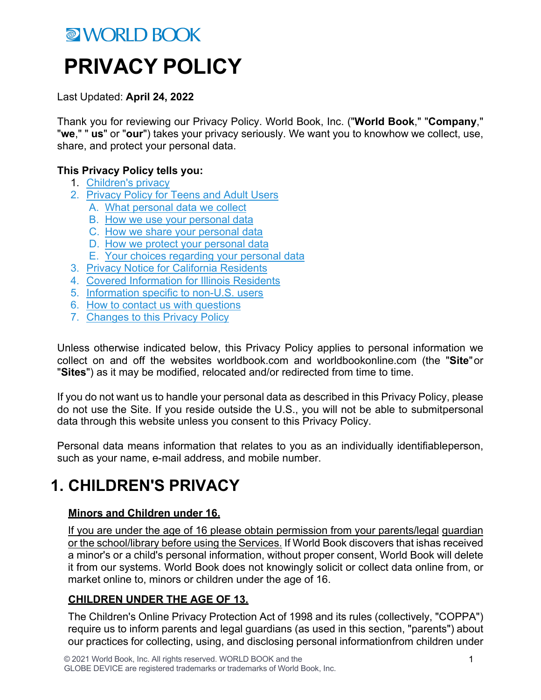# **MORLD BOOK PRIVACY POLICY**

Last Updated: **April 24, 2022**

Thank you for reviewing our Privacy Policy. World Book, Inc. ("**World Book**," "**Company**," "**we**," " **us**" or "**our**") takes your privacy seriously. We want you to knowhow we collect, use, share, and protect your personal data.

#### **This Privacy Policy tells you:**

- 1. Children's privacy
- 2. Privacy Policy for Teens and Adult Users
	- A. What personal data we collect
	- B. How we use your personal data
	- C. How we share your personal data
	- D. How we protect your personal data
	- E. Your choices regarding your personal data
- 3. Privacy Notice for California Residents
- 4. Covered Information for Illinois Residents
- 5. Information specific to non-U.S. users
- 6. How to contact us with questions
- 7. Changes to this Privacy Policy

Unless otherwise indicated below, this Privacy Policy applies to personal information we collect on and off the websites worldbook.com and worldbookonline.com (the "**Site**"or "**Sites**") as it may be modified, relocated and/or redirected from time to time.

If you do not want us to handle your personal data as described in this Privacy Policy, please do not use the Site. If you reside outside the U.S., you will not be able to submitpersonal data through this website unless you consent to this Privacy Policy.

Personal data means information that relates to you as an individually identifiableperson, such as your name, e-mail address, and mobile number.

## **1. CHILDREN'S PRIVACY**

#### **Minors and Children under 16.**

If you are under the age of 16 please obtain permission from your parents/legal guardian or the school/library before using the Services. If World Book discovers that ishas received a minor's or a child's personal information, without proper consent, World Book will delete it from our systems. World Book does not knowingly solicit or collect data online from, or market online to, minors or children under the age of 16.

#### **CHILDREN UNDER THE AGE OF 13.**

The Children's Online Privacy Protection Act of 1998 and its rules (collectively, "COPPA") require us to inform parents and legal guardians (as used in this section, "parents") about our practices for collecting, using, and disclosing personal informationfrom children under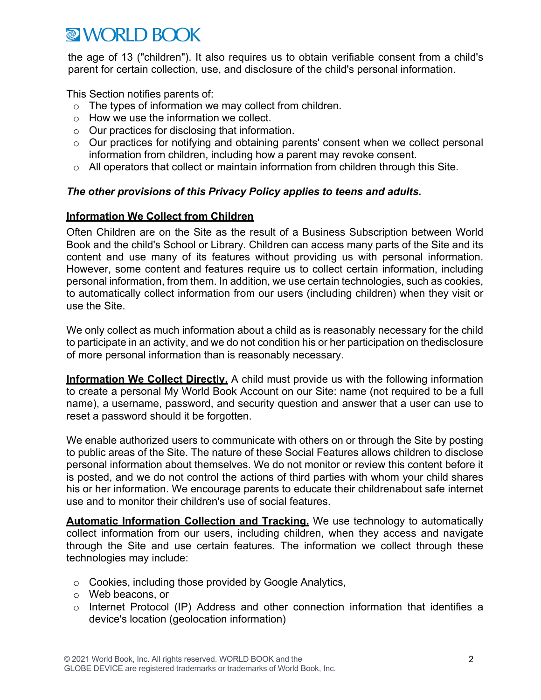the age of 13 ("children"). It also requires us to obtain verifiable consent from a child's parent for certain collection, use, and disclosure of the child's personal information.

This Section notifies parents of:

- o The types of information we may collect from children.
- o How we use the information we collect.
- o Our practices for disclosing that information.
- o Our practices for notifying and obtaining parents' consent when we collect personal information from children, including how a parent may revoke consent.
- o All operators that collect or maintain information from children through this Site.

#### *The other provisions of this Privacy Policy applies to teens and adults.*

#### **Information We Collect from Children**

Often Children are on the Site as the result of a Business Subscription between World Book and the child's School or Library. Children can access many parts of the Site and its content and use many of its features without providing us with personal information. However, some content and features require us to collect certain information, including personal information, from them. In addition, we use certain technologies, such as cookies, to automatically collect information from our users (including children) when they visit or use the Site.

We only collect as much information about a child as is reasonably necessary for the child to participate in an activity, and we do not condition his or her participation on thedisclosure of more personal information than is reasonably necessary.

**Information We Collect Directly.** A child must provide us with the following information to create a personal My World Book Account on our Site: name (not required to be a full name), a username, password, and security question and answer that a user can use to reset a password should it be forgotten.

We enable authorized users to communicate with others on or through the Site by posting to public areas of the Site. The nature of these Social Features allows children to disclose personal information about themselves. We do not monitor or review this content before it is posted, and we do not control the actions of third parties with whom your child shares his or her information. We encourage parents to educate their childrenabout safe internet use and to monitor their children's use of social features.

**Automatic Information Collection and Tracking.** We use technology to automatically collect information from our users, including children, when they access and navigate through the Site and use certain features. The information we collect through these technologies may include:

- o Cookies, including those provided by Google Analytics,
- o Web beacons, or
- o Internet Protocol (IP) Address and other connection information that identifies a device's location (geolocation information)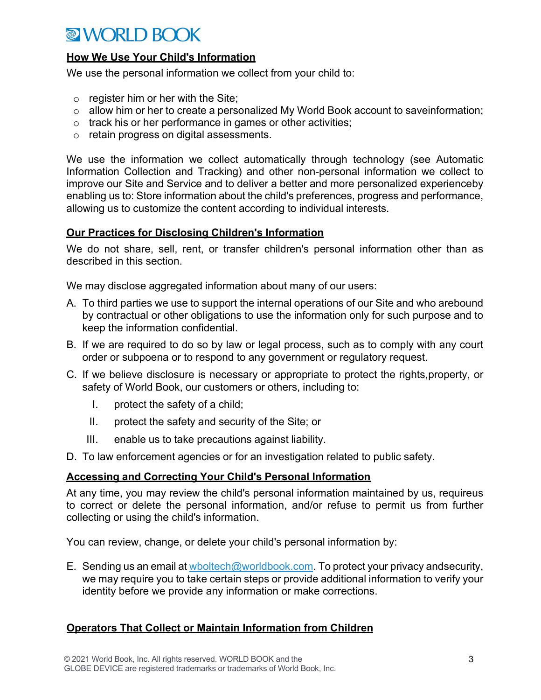#### **How We Use Your Child's Information**

We use the personal information we collect from your child to:

- $\circ$  register him or her with the Site;
- o allow him or her to create a personalized My World Book account to saveinformation;
- o track his or her performance in games or other activities;
- o retain progress on digital assessments.

We use the information we collect automatically through technology (see Automatic Information Collection and Tracking) and other non-personal information we collect to improve our Site and Service and to deliver a better and more personalized experienceby enabling us to: Store information about the child's preferences, progress and performance, allowing us to customize the content according to individual interests.

#### **Our Practices for Disclosing Children's Information**

We do not share, sell, rent, or transfer children's personal information other than as described in this section.

We may disclose aggregated information about many of our users:

- A. To third parties we use to support the internal operations of our Site and who arebound by contractual or other obligations to use the information only for such purpose and to keep the information confidential.
- B. If we are required to do so by law or legal process, such as to comply with any court order or subpoena or to respond to any government or regulatory request.
- C. If we believe disclosure is necessary or appropriate to protect the rights,property, or safety of World Book, our customers or others, including to:
	- I. protect the safety of a child;
	- II. protect the safety and security of the Site; or
	- III. enable us to take precautions against liability.
- D. To law enforcement agencies or for an investigation related to public safety.

#### **Accessing and Correcting Your Child's Personal Information**

At any time, you may review the child's personal information maintained by us, requireus to correct or delete the personal information, and/or refuse to permit us from further collecting or using the child's information.

You can review, change, or delete your child's personal information by:

E. Sending us an email at wboltech@worldbook.com. To protect your privacy andsecurity, we may require you to take certain steps or provide additional information to verify your identity before we provide any information or make corrections.

#### **Operators That Collect or Maintain Information from Children**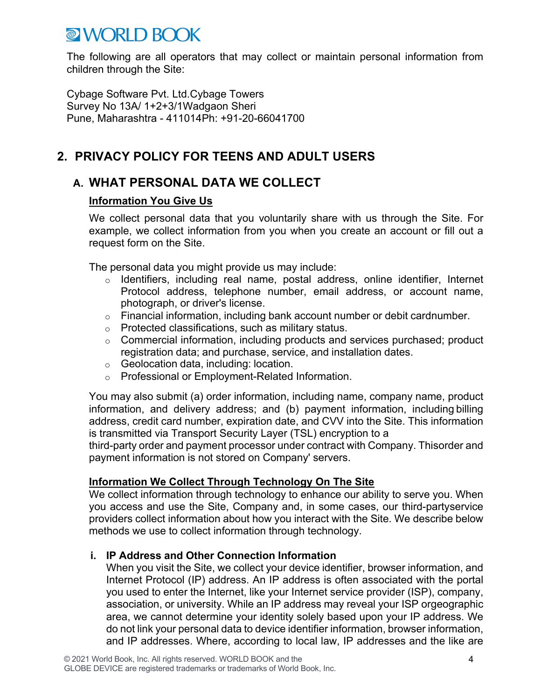The following are all operators that may collect or maintain personal information from children through the Site:

Cybage Software Pvt. Ltd.Cybage Towers Survey No 13A/ 1+2+3/1Wadgaon Sheri Pune, Maharashtra - 411014Ph: +91-20-66041700

### **2. PRIVACY POLICY FOR TEENS AND ADULT USERS**

### **A. WHAT PERSONAL DATA WE COLLECT**

#### **Information You Give Us**

We collect personal data that you voluntarily share with us through the Site. For example, we collect information from you when you create an account or fill out a request form on the Site.

The personal data you might provide us may include:

- o Identifiers, including real name, postal address, online identifier, Internet Protocol address, telephone number, email address, or account name, photograph, or driver's license.
- o Financial information, including bank account number or debit cardnumber.
- o Protected classifications, such as military status.
- o Commercial information, including products and services purchased; product registration data; and purchase, service, and installation dates.
- o Geolocation data, including: location.
- o Professional or Employment-Related Information.

You may also submit (a) order information, including name, company name, product information, and delivery address; and (b) payment information, including billing address, credit card number, expiration date, and CVV into the Site. This information is transmitted via Transport Security Layer (TSL) encryption to a

third-party order and payment processor under contract with Company. Thisorder and payment information is not stored on Company' servers.

#### **Information We Collect Through Technology On The Site**

We collect information through technology to enhance our ability to serve you. When you access and use the Site, Company and, in some cases, our third-partyservice providers collect information about how you interact with the Site. We describe below methods we use to collect information through technology.

#### **i. IP Address and Other Connection Information**

When you visit the Site, we collect your device identifier, browser information, and Internet Protocol (IP) address. An IP address is often associated with the portal you used to enter the Internet, like your Internet service provider (ISP), company, association, or university. While an IP address may reveal your ISP orgeographic area, we cannot determine your identity solely based upon your IP address. We do not link your personal data to device identifier information, browser information, and IP addresses. Where, according to local law, IP addresses and the like are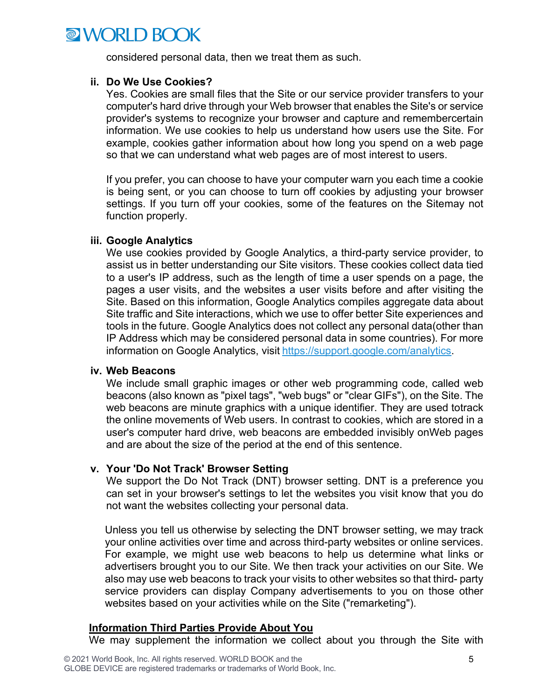considered personal data, then we treat them as such.

#### **ii. Do We Use Cookies?**

Yes. Cookies are small files that the Site or our service provider transfers to your computer's hard drive through your Web browser that enables the Site's or service provider's systems to recognize your browser and capture and remembercertain information. We use cookies to help us understand how users use the Site. For example, cookies gather information about how long you spend on a web page so that we can understand what web pages are of most interest to users.

If you prefer, you can choose to have your computer warn you each time a cookie is being sent, or you can choose to turn off cookies by adjusting your browser settings. If you turn off your cookies, some of the features on the Sitemay not function properly.

#### **iii. Google Analytics**

We use cookies provided by Google Analytics, a third-party service provider, to assist us in better understanding our Site visitors. These cookies collect data tied to a user's IP address, such as the length of time a user spends on a page, the pages a user visits, and the websites a user visits before and after visiting the Site. Based on this information, Google Analytics compiles aggregate data about Site traffic and Site interactions, which we use to offer better Site experiences and tools in the future. Google Analytics does not collect any personal data(other than IP Address which may be considered personal data in some countries). For more information on Google Analytics, visit https://support.google.com/analytics.

#### **iv. Web Beacons**

We include small graphic images or other web programming code, called web beacons (also known as "pixel tags", "web bugs" or "clear GIFs"), on the Site. The web beacons are minute graphics with a unique identifier. They are used totrack the online movements of Web users. In contrast to cookies, which are stored in a user's computer hard drive, web beacons are embedded invisibly onWeb pages and are about the size of the period at the end of this sentence.

#### **v. Your 'Do Not Track' Browser Setting**

We support the Do Not Track (DNT) browser setting. DNT is a preference you can set in your browser's settings to let the websites you visit know that you do not want the websites collecting your personal data.

Unless you tell us otherwise by selecting the DNT browser setting, we may track your online activities over time and across third-party websites or online services. For example, we might use web beacons to help us determine what links or advertisers brought you to our Site. We then track your activities on our Site. We also may use web beacons to track your visits to other websites so that third- party service providers can display Company advertisements to you on those other websites based on your activities while on the Site ("remarketing").

#### **Information Third Parties Provide About You**

We may supplement the information we collect about you through the Site with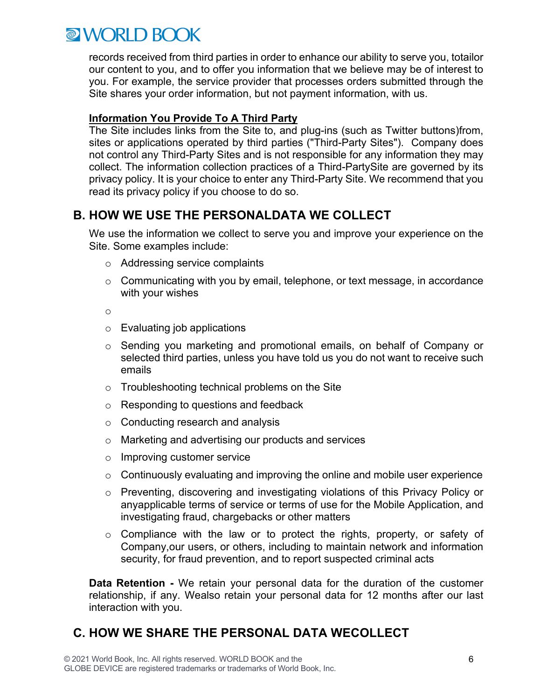records received from third parties in order to enhance our ability to serve you, totailor our content to you, and to offer you information that we believe may be of interest to you. For example, the service provider that processes orders submitted through the Site shares your order information, but not payment information, with us.

#### **Information You Provide To A Third Party**

The Site includes links from the Site to, and plug-ins (such as Twitter buttons)from, sites or applications operated by third parties ("Third-Party Sites"). Company does not control any Third-Party Sites and is not responsible for any information they may collect. The information collection practices of a Third-PartySite are governed by its privacy policy. It is your choice to enter any Third-Party Site. We recommend that you read its privacy policy if you choose to do so.

### **B. HOW WE USE THE PERSONALDATA WE COLLECT**

We use the information we collect to serve you and improve your experience on the Site. Some examples include:

- o Addressing service complaints
- o Communicating with you by email, telephone, or text message, in accordance with your wishes

o

- $\circ$  Evaluating job applications
- o Sending you marketing and promotional emails, on behalf of Company or selected third parties, unless you have told us you do not want to receive such emails
- o Troubleshooting technical problems on the Site
- o Responding to questions and feedback
- o Conducting research and analysis
- o Marketing and advertising our products and services
- o Improving customer service
- $\circ$  Continuously evaluating and improving the online and mobile user experience
- o Preventing, discovering and investigating violations of this Privacy Policy or anyapplicable terms of service or terms of use for the Mobile Application, and investigating fraud, chargebacks or other matters
- o Compliance with the law or to protect the rights, property, or safety of Company,our users, or others, including to maintain network and information security, for fraud prevention, and to report suspected criminal acts

**Data Retention -** We retain your personal data for the duration of the customer relationship, if any. Wealso retain your personal data for 12 months after our last interaction with you.

### **C. HOW WE SHARE THE PERSONAL DATA WECOLLECT**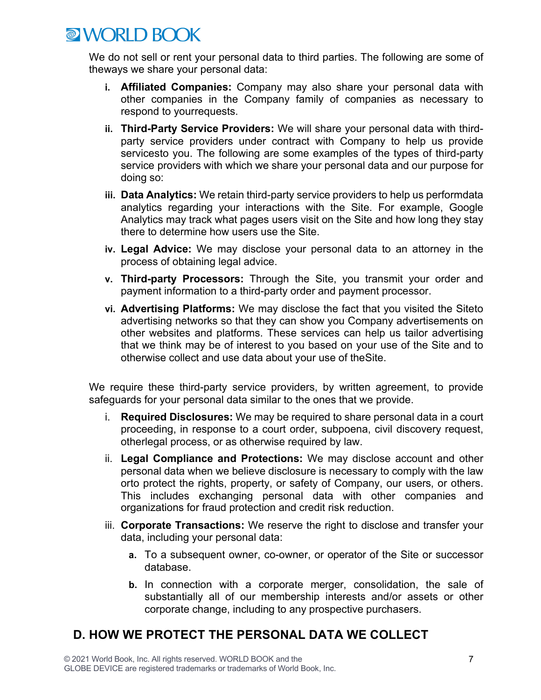We do not sell or rent your personal data to third parties. The following are some of theways we share your personal data:

- **i. Affiliated Companies:** Company may also share your personal data with other companies in the Company family of companies as necessary to respond to yourrequests.
- **ii. Third-Party Service Providers:** We will share your personal data with thirdparty service providers under contract with Company to help us provide servicesto you. The following are some examples of the types of third-party service providers with which we share your personal data and our purpose for doing so:
- **iii. Data Analytics:** We retain third-party service providers to help us performdata analytics regarding your interactions with the Site. For example, Google Analytics may track what pages users visit on the Site and how long they stay there to determine how users use the Site.
- **iv. Legal Advice:** We may disclose your personal data to an attorney in the process of obtaining legal advice.
- **v. Third-party Processors:** Through the Site, you transmit your order and payment information to a third-party order and payment processor.
- **vi. Advertising Platforms:** We may disclose the fact that you visited the Siteto advertising networks so that they can show you Company advertisements on other websites and platforms. These services can help us tailor advertising that we think may be of interest to you based on your use of the Site and to otherwise collect and use data about your use of theSite.

We require these third-party service providers, by written agreement, to provide safeguards for your personal data similar to the ones that we provide.

- i. **Required Disclosures:** We may be required to share personal data in a court proceeding, in response to a court order, subpoena, civil discovery request, otherlegal process, or as otherwise required by law.
- ii. **Legal Compliance and Protections:** We may disclose account and other personal data when we believe disclosure is necessary to comply with the law orto protect the rights, property, or safety of Company, our users, or others. This includes exchanging personal data with other companies and organizations for fraud protection and credit risk reduction.
- iii. **Corporate Transactions:** We reserve the right to disclose and transfer your data, including your personal data:
	- **a.** To a subsequent owner, co-owner, or operator of the Site or successor database.
	- **b.** In connection with a corporate merger, consolidation, the sale of substantially all of our membership interests and/or assets or other corporate change, including to any prospective purchasers.

### **D. HOW WE PROTECT THE PERSONAL DATA WE COLLECT**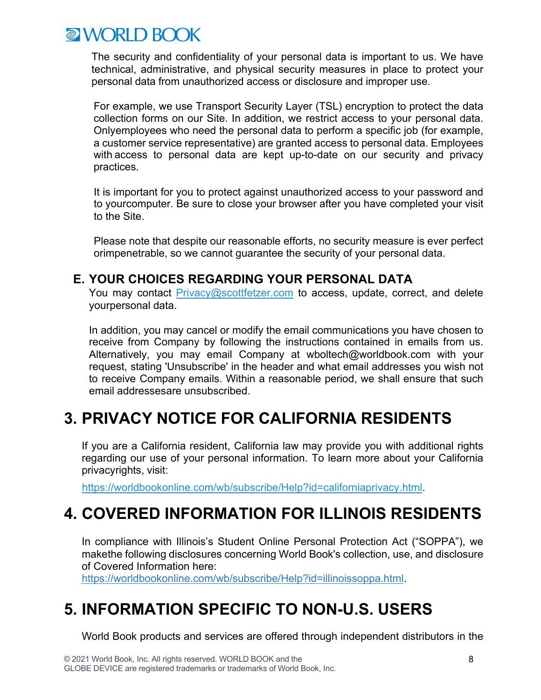The security and confidentiality of your personal data is important to us. We have technical, administrative, and physical security measures in place to protect your personal data from unauthorized access or disclosure and improper use.

For example, we use Transport Security Layer (TSL) encryption to protect the data collection forms on our Site. In addition, we restrict access to your personal data. Onlyemployees who need the personal data to perform a specific job (for example, a customer service representative) are granted access to personal data. Employees with access to personal data are kept up-to-date on our security and privacy practices.

It is important for you to protect against unauthorized access to your password and to yourcomputer. Be sure to close your browser after you have completed your visit to the Site.

Please note that despite our reasonable efforts, no security measure is ever perfect orimpenetrable, so we cannot guarantee the security of your personal data.

### **E. YOUR CHOICES REGARDING YOUR PERSONAL DATA**

You may contact Privacy@scottfetzer.com to access, update, correct, and delete yourpersonal data.

In addition, you may cancel or modify the email communications you have chosen to receive from Company by following the instructions contained in emails from us. Alternatively, you may email Company at wboltech@worldbook.com with your request, stating 'Unsubscribe' in the header and what email addresses you wish not to receive Company emails. Within a reasonable period, we shall ensure that such email addressesare unsubscribed.

### **3. PRIVACY NOTICE FOR CALIFORNIA RESIDENTS**

If you are a California resident, California law may provide you with additional rights regarding our use of your personal information. To learn more about your California privacyrights, visit:

https://worldbookonline.com/wb/subscribe/Help?id=californiaprivacy.html.

### **4. COVERED INFORMATION FOR ILLINOIS RESIDENTS**

In compliance with Illinois's Student Online Personal Protection Act ("SOPPA"), we makethe following disclosures concerning World Book's collection, use, and disclosure of Covered Information here:

https://worldbookonline.com/wb/subscribe/Help?id=illinoissoppa.html.

### **5. INFORMATION SPECIFIC TO NON-U.S. USERS**

World Book products and services are offered through independent distributors in the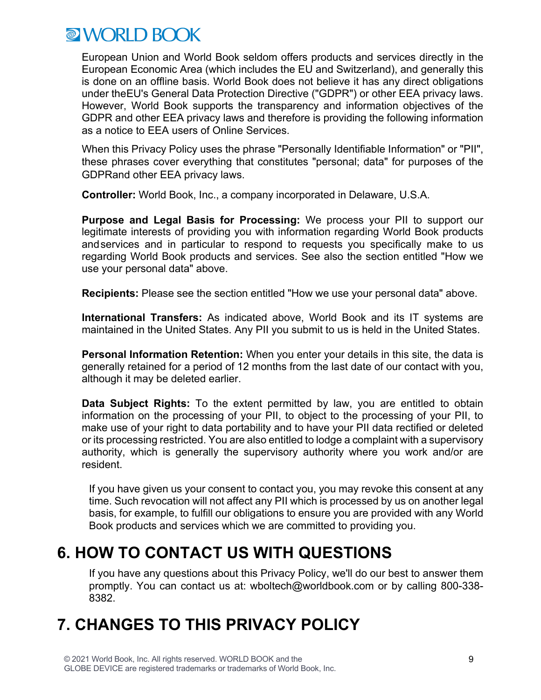European Union and World Book seldom offers products and services directly in the European Economic Area (which includes the EU and Switzerland), and generally this is done on an offline basis. World Book does not believe it has any direct obligations under theEU's General Data Protection Directive ("GDPR") or other EEA privacy laws. However, World Book supports the transparency and information objectives of the GDPR and other EEA privacy laws and therefore is providing the following information as a notice to EEA users of Online Services.

When this Privacy Policy uses the phrase "Personally Identifiable Information" or "PII", these phrases cover everything that constitutes "personal; data" for purposes of the GDPRand other EEA privacy laws.

**Controller:** World Book, Inc., a company incorporated in Delaware, U.S.A.

**Purpose and Legal Basis for Processing:** We process your PII to support our legitimate interests of providing you with information regarding World Book products andservices and in particular to respond to requests you specifically make to us regarding World Book products and services. See also the section entitled "How we use your personal data" above.

**Recipients:** Please see the section entitled "How we use your personal data" above.

**International Transfers:** As indicated above, World Book and its IT systems are maintained in the United States. Any PII you submit to us is held in the United States.

**Personal Information Retention:** When you enter your details in this site, the data is generally retained for a period of 12 months from the last date of our contact with you, although it may be deleted earlier.

**Data Subject Rights:** To the extent permitted by law, you are entitled to obtain information on the processing of your PII, to object to the processing of your PII, to make use of your right to data portability and to have your PII data rectified or deleted or its processing restricted. You are also entitled to lodge a complaint with a supervisory authority, which is generally the supervisory authority where you work and/or are resident.

If you have given us your consent to contact you, you may revoke this consent at any time. Such revocation will not affect any PII which is processed by us on another legal basis, for example, to fulfill our obligations to ensure you are provided with any World Book products and services which we are committed to providing you.

### **6. HOW TO CONTACT US WITH QUESTIONS**

If you have any questions about this Privacy Policy, we'll do our best to answer them promptly. You can contact us at: wboltech@worldbook.com or by calling 800-338- 8382.

## **7. CHANGES TO THIS PRIVACY POLICY**